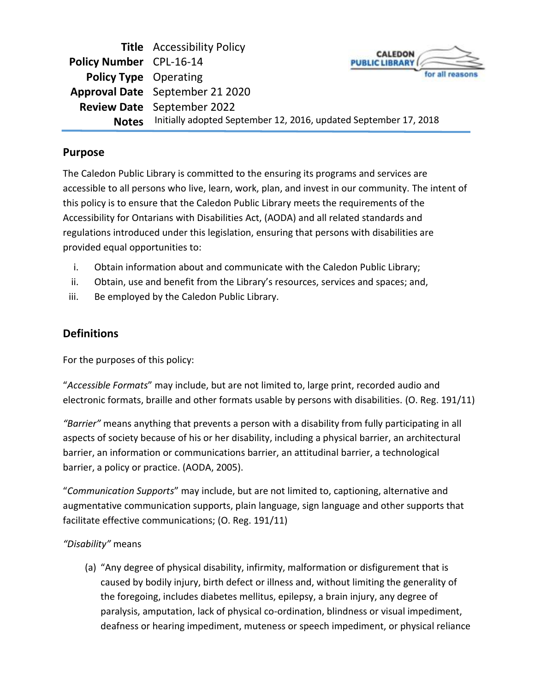|                              | <b>Title</b> Accessibility Policy                                | <b>CALEDON</b>        |
|------------------------------|------------------------------------------------------------------|-----------------------|
| Policy Number CPL-16-14      |                                                                  | <b>PURLIC LIBRARY</b> |
| <b>Policy Type</b> Operating |                                                                  |                       |
|                              | Approval Date September 21 2020                                  |                       |
|                              | <b>Review Date</b> September 2022                                |                       |
| <b>Notes</b>                 | Initially adopted September 12, 2016, updated September 17, 2018 |                       |

## **Purpose**

The Caledon Public Library is committed to the ensuring its programs and services are accessible to all persons who live, learn, work, plan, and invest in our community. The intent of this policy is to ensure that the Caledon Public Library meets the requirements of the Accessibility for Ontarians with Disabilities Act, (AODA) and all related standards and regulations introduced under this legislation, ensuring that persons with disabilities are provided equal opportunities to:

- i. Obtain information about and communicate with the Caledon Public Library;
- ii. Obtain, use and benefit from the Library's resources, services and spaces; and,
- iii. Be employed by the Caledon Public Library.

# **Definitions**

For the purposes of this policy:

"*Accessible Formats*" may include, but are not limited to, large print, recorded audio and electronic formats, braille and other formats usable by persons with disabilities. (O. Reg. 191/11)

*"Barrier"* means anything that prevents a person with a disability from fully participating in all aspects of society because of his or her disability, including a physical barrier, an architectural barrier, an information or communications barrier, an attitudinal barrier, a technological barrier, a policy or practice. (AODA, 2005).

"*Communication Supports*" may include, but are not limited to, captioning, alternative and augmentative communication supports, plain language, sign language and other supports that facilitate effective communications; (O. Reg. 191/11)

## *"Disability"* means

(a) "Any degree of physical disability, infirmity, malformation or disfigurement that is caused by bodily injury, birth defect or illness and, without limiting the generality of the foregoing, includes diabetes mellitus, epilepsy, a brain injury, any degree of paralysis, amputation, lack of physical co-ordination, blindness or visual impediment, deafness or hearing impediment, muteness or speech impediment, or physical reliance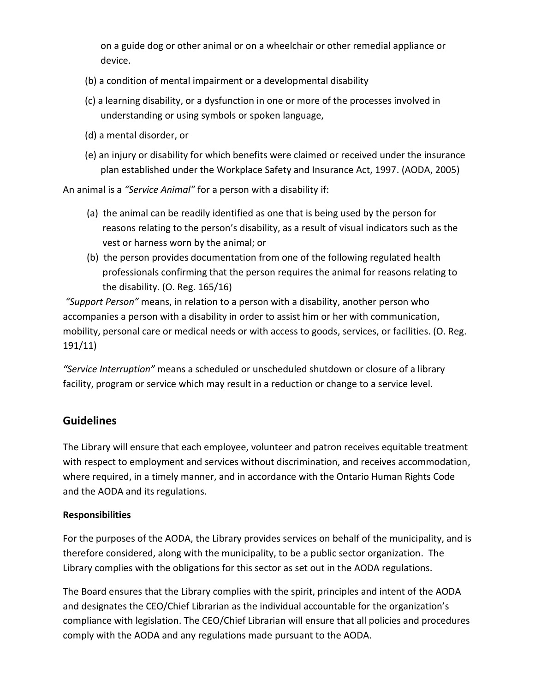on a guide dog or other animal or on a wheelchair or other remedial appliance or device.

- (b) a condition of mental impairment or a developmental disability
- (c) a learning disability, or a dysfunction in one or more of the processes involved in understanding or using symbols or spoken language,
- (d) a mental disorder, or
- (e) an injury or disability for which benefits were claimed or received under the insurance plan established under the Workplace Safety and Insurance Act, 1997. (AODA, 2005)

An animal is a *"Service Animal"* for a person with a disability if:

- (a) the animal can be readily identified as one that is being used by the person for reasons relating to the person's disability, as a result of visual indicators such as the vest or harness worn by the animal; or
- (b) the person provides documentation from one of the following regulated health professionals confirming that the person requires the animal for reasons relating to the disability. (O. Reg. 165/16)

*"Support Person"* means, in relation to a person with a disability, another person who accompanies a person with a disability in order to assist him or her with communication, mobility, personal care or medical needs or with access to goods, services, or facilities. (O. Reg. 191/11)

*"Service Interruption"* means a scheduled or unscheduled shutdown or closure of a library facility, program or service which may result in a reduction or change to a service level.

## **Guidelines**

The Library will ensure that each employee, volunteer and patron receives equitable treatment with respect to employment and services without discrimination, and receives accommodation, where required, in a timely manner, and in accordance with the Ontario Human Rights Code and the AODA and its regulations.

## **Responsibilities**

For the purposes of the AODA, the Library provides services on behalf of the municipality, and is therefore considered, along with the municipality, to be a public sector organization. The Library complies with the obligations for this sector as set out in the AODA regulations.

The Board ensures that the Library complies with the spirit, principles and intent of the AODA and designates the CEO/Chief Librarian as the individual accountable for the organization's compliance with legislation. The CEO/Chief Librarian will ensure that all policies and procedures comply with the AODA and any regulations made pursuant to the AODA.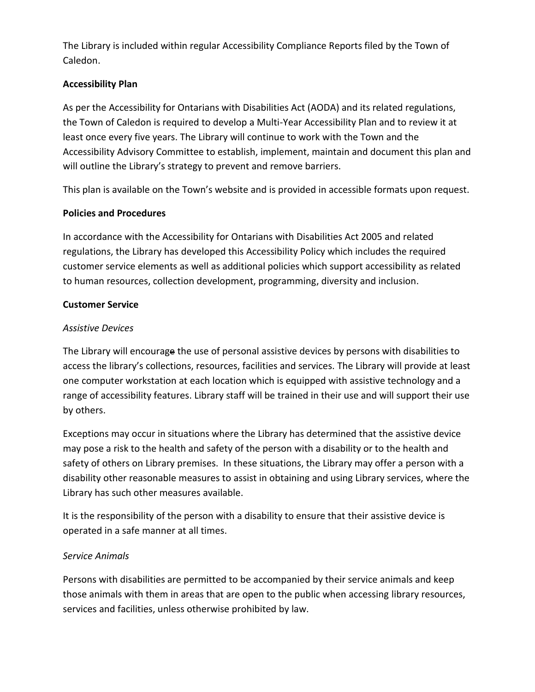The Library is included within regular Accessibility Compliance Reports filed by the Town of Caledon.

#### **Accessibility Plan**

As per the Accessibility for Ontarians with Disabilities Act (AODA) and its related regulations, the Town of Caledon is required to develop a Multi-Year Accessibility Plan and to review it at least once every five years. The Library will continue to work with the Town and the Accessibility Advisory Committee to establish, implement, maintain and document this plan and will outline the Library's strategy to prevent and remove barriers.

This plan is available on the Town's website and is provided in accessible formats upon request.

#### **Policies and Procedures**

In accordance with the Accessibility for Ontarians with Disabilities Act 2005 and related regulations, the Library has developed this Accessibility Policy which includes the required customer service elements as well as additional policies which support accessibility as related to human resources, collection development, programming, diversity and inclusion.

#### **Customer Service**

#### *Assistive Devices*

The Library will encourage the use of personal assistive devices by persons with disabilities to access the library's collections, resources, facilities and services. The Library will provide at least one computer workstation at each location which is equipped with assistive technology and a range of accessibility features. Library staff will be trained in their use and will support their use by others.

Exceptions may occur in situations where the Library has determined that the assistive device may pose a risk to the health and safety of the person with a disability or to the health and safety of others on Library premises. In these situations, the Library may offer a person with a disability other reasonable measures to assist in obtaining and using Library services, where the Library has such other measures available.

It is the responsibility of the person with a disability to ensure that their assistive device is operated in a safe manner at all times.

#### *Service Animals*

Persons with disabilities are permitted to be accompanied by their service animals and keep those animals with them in areas that are open to the public when accessing library resources, services and facilities, unless otherwise prohibited by law.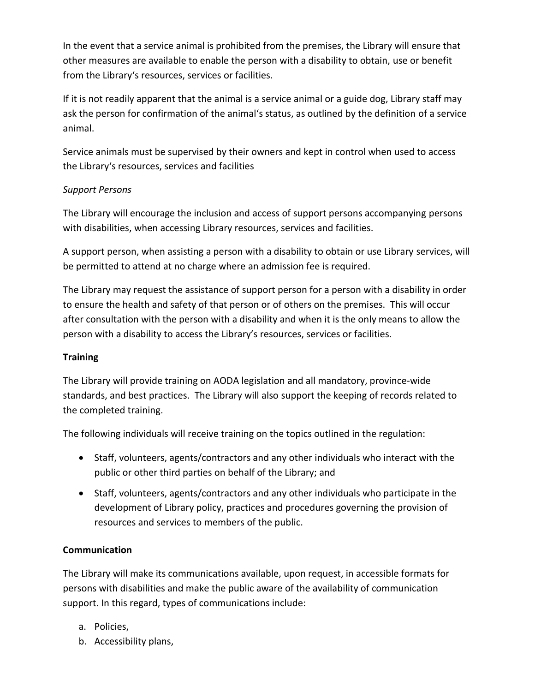In the event that a service animal is prohibited from the premises, the Library will ensure that other measures are available to enable the person with a disability to obtain, use or benefit from the Library's resources, services or facilities.

If it is not readily apparent that the animal is a service animal or a guide dog, Library staff may ask the person for confirmation of the animal's status, as outlined by the definition of a service animal.

Service animals must be supervised by their owners and kept in control when used to access the Library's resources, services and facilities

#### *Support Persons*

The Library will encourage the inclusion and access of support persons accompanying persons with disabilities, when accessing Library resources, services and facilities.

A support person, when assisting a person with a disability to obtain or use Library services, will be permitted to attend at no charge where an admission fee is required.

The Library may request the assistance of support person for a person with a disability in order to ensure the health and safety of that person or of others on the premises. This will occur after consultation with the person with a disability and when it is the only means to allow the person with a disability to access the Library's resources, services or facilities.

#### **Training**

The Library will provide training on AODA legislation and all mandatory, province‐wide standards, and best practices. The Library will also support the keeping of records related to the completed training.

The following individuals will receive training on the topics outlined in the regulation:

- Staff, volunteers, agents/contractors and any other individuals who interact with the public or other third parties on behalf of the Library; and
- Staff, volunteers, agents/contractors and any other individuals who participate in the development of Library policy, practices and procedures governing the provision of resources and services to members of the public.

## **Communication**

The Library will make its communications available, upon request, in accessible formats for persons with disabilities and make the public aware of the availability of communication support. In this regard, types of communications include:

- a. Policies,
- b. Accessibility plans,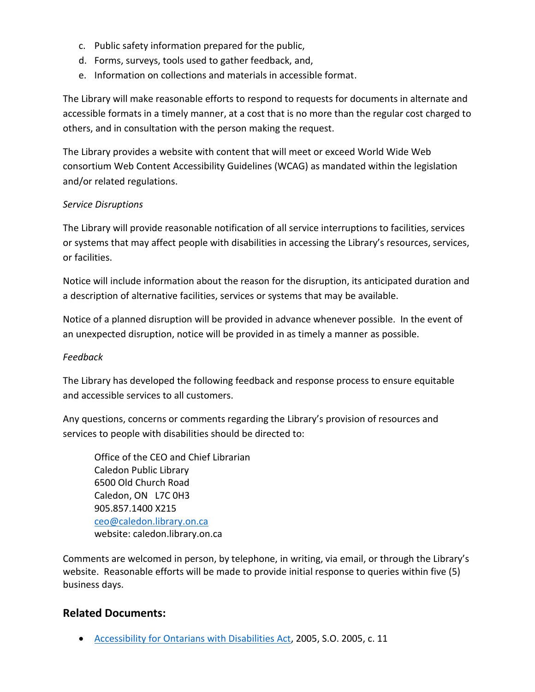- c. Public safety information prepared for the public,
- d. Forms, surveys, tools used to gather feedback, and,
- e. Information on collections and materials in accessible format.

The Library will make reasonable efforts to respond to requests for documents in alternate and accessible formats in a timely manner, at a cost that is no more than the regular cost charged to others, and in consultation with the person making the request.

The Library provides a website with content that will meet or exceed World Wide Web consortium Web Content Accessibility Guidelines (WCAG) as mandated within the legislation and/or related regulations.

#### *Service Disruptions*

The Library will provide reasonable notification of all service interruptions to facilities, services or systems that may affect people with disabilities in accessing the Library's resources, services, or facilities.

Notice will include information about the reason for the disruption, its anticipated duration and a description of alternative facilities, services or systems that may be available.

Notice of a planned disruption will be provided in advance whenever possible. In the event of an unexpected disruption, notice will be provided in as timely a manner as possible.

#### *Feedback*

The Library has developed the following feedback and response process to ensure equitable and accessible services to all customers.

Any questions, concerns or comments regarding the Library's provision of resources and services to people with disabilities should be directed to:

Office of the CEO and Chief Librarian Caledon Public Library 6500 Old Church Road Caledon, ON L7C 0H3 905.857.1400 X215 [ceo@caledon.library.on.ca](mailto:ceo@caledon.library.on.ca) website: caledon.library.on.ca

Comments are welcomed in person, by telephone, in writing, via email, or through the Library's website. Reasonable efforts will be made to provide initial response to queries within five (5) business days.

## **Related Documents:**

• [Accessibility for Ontarians with Disabilities Act,](https://www.ontario.ca/laws/statute/05a11) 2005, S.O. 2005, c. 11